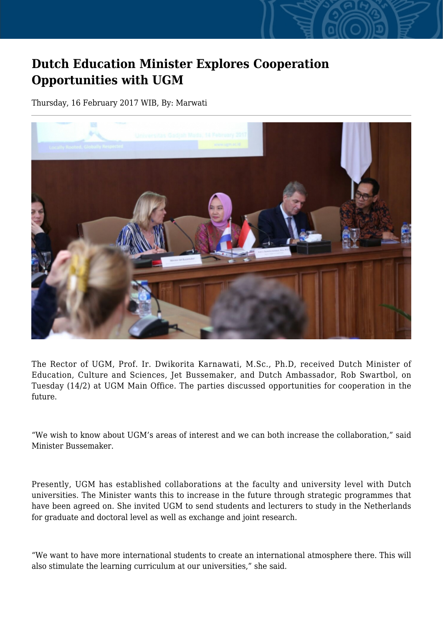## **Dutch Education Minister Explores Cooperation Opportunities with UGM**

Thursday, 16 February 2017 WIB, By: Marwati



The Rector of UGM, Prof. Ir. Dwikorita Karnawati, M.Sc., Ph.D, received Dutch Minister of Education, Culture and Sciences, Jet Bussemaker, and Dutch Ambassador, Rob Swartbol, on Tuesday (14/2) at UGM Main Office. The parties discussed opportunities for cooperation in the future.

"We wish to know about UGM's areas of interest and we can both increase the collaboration," said Minister Bussemaker.

Presently, UGM has established collaborations at the faculty and university level with Dutch universities. The Minister wants this to increase in the future through strategic programmes that have been agreed on. She invited UGM to send students and lecturers to study in the Netherlands for graduate and doctoral level as well as exchange and joint research.

"We want to have more international students to create an international atmosphere there. This will also stimulate the learning curriculum at our universities," she said.